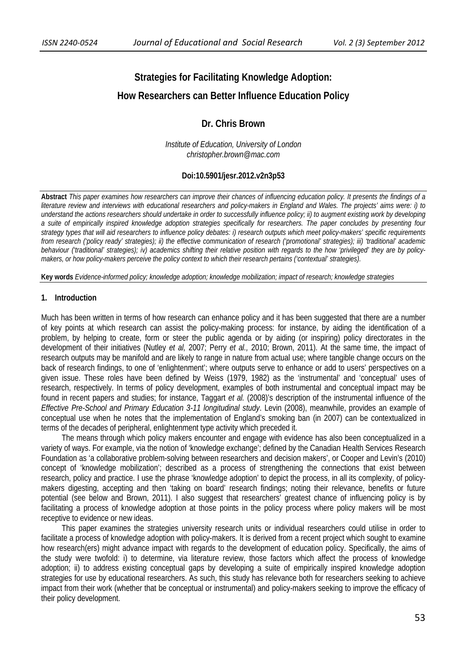# **Strategies for Facilitating Knowledge Adoption: How Researchers can Better Influence Education Policy**

# **Dr. Chris Brown**

*Institute of Education, University of London christopher.brown@mac.com* 

### **Doi:10.5901/jesr.2012.v2n3p53**

**Abstract** *This paper examines how researchers can improve their chances of influencing education policy. It presents the findings of a literature review and interviews with educational researchers and policy-makers in England and Wales. The projects' aims were: i) to understand the actions researchers should undertake in order to successfully influence policy; ii) to augment existing work by developing a suite of empirically inspired knowledge adoption strategies specifically for researchers. The paper concludes by presenting four strategy types that will aid researchers to influence policy debates: i) research outputs which meet policy-makers' specific requirements from research ('policy ready' strategies); ii) the effective communication of research ('promotional' strategies); iii) 'traditional' academic behaviour ('traditional' strategies); iv) academics shifting their relative position with regards to the how 'privileged' they are by policymakers, or how policy-makers perceive the policy context to which their research pertains ('contextual' strategies).* 

**Key words** *Evidence-informed policy; knowledge adoption; knowledge mobilization; impact of research; knowledge strategies*

# **1. Introduction**

Much has been written in terms of how research can enhance policy and it has been suggested that there are a number of key points at which research can assist the policy-making process: for instance, by aiding the identification of a problem, by helping to create, form or steer the public agenda or by aiding (or inspiring) policy directorates in the development of their initiatives (Nutley *et al,* 2007; Perry *et al.,* 2010; Brown, 2011). At the same time, the impact of research outputs may be manifold and are likely to range in nature from actual use; where tangible change occurs on the back of research findings, to one of 'enlightenment'; where outputs serve to enhance or add to users' perspectives on a given issue. These roles have been defined by Weiss (1979, 1982) as the 'instrumental' and 'conceptual' uses of research, respectively. In terms of policy development, examples of both instrumental and conceptual impact may be found in recent papers and studies; for instance, Taggart *et al.* (2008)'s description of the instrumental influence of the *Effective Pre-School and Primary Education 3-11 longitudinal study*. Levin (2008), meanwhile, provides an example of conceptual use when he notes that the implementation of England's smoking ban (in 2007) can be contextualized in terms of the decades of peripheral, enlightenment type activity which preceded it.

The means through which policy makers encounter and engage with evidence has also been conceptualized in a variety of ways. For example, via the notion of 'knowledge exchange'; defined by the Canadian Health Services Research Foundation as 'a collaborative problem-solving between researchers and decision makers', or Cooper and Levin's (2010) concept of 'knowledge mobilization'; described as a process of strengthening the connections that exist between research, policy and practice. I use the phrase 'knowledge adoption' to depict the process, in all its complexity, of policymakers digesting, accepting and then 'taking on board' research findings; noting their relevance, benefits or future potential (see below and Brown, 2011). I also suggest that researchers' greatest chance of influencing policy is by facilitating a process of knowledge adoption at those points in the policy process where policy makers will be most receptive to evidence or new ideas.

This paper examines the strategies university research units or individual researchers could utilise in order to facilitate a process of knowledge adoption with policy-makers. It is derived from a recent project which sought to examine how research(ers) might advance impact with regards to the development of education policy. Specifically, the aims of the study were twofold: i) to determine, via literature review, those factors which affect the process of knowledge adoption; ii) to address existing conceptual gaps by developing a suite of empirically inspired knowledge adoption strategies for use by educational researchers. As such, this study has relevance both for researchers seeking to achieve impact from their work (whether that be conceptual or instrumental) and policy-makers seeking to improve the efficacy of their policy development.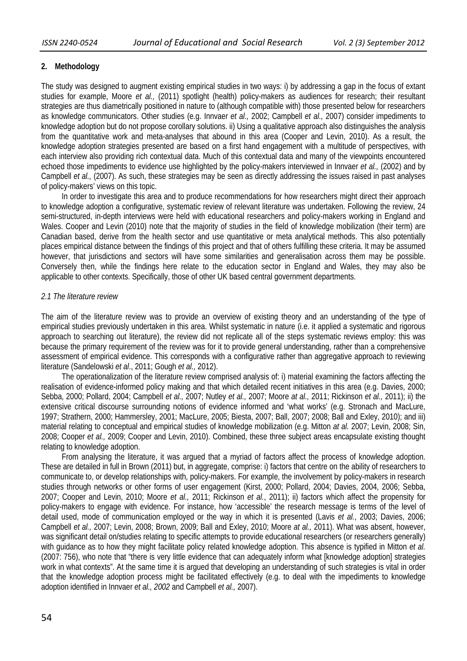# **2. Methodology**

The study was designed to augment existing empirical studies in two ways: i) by addressing a gap in the focus of extant studies for example, Moore *et al.,* (2011) spotlight (health) policy-makers as audiences for research; their resultant strategies are thus diametrically positioned in nature to (although compatible with) those presented below for researchers as knowledge communicators. Other studies (e.g. Innvaer *et al.,* 2002; Campbell *et al.,* 2007) consider impediments to knowledge adoption but do not propose corollary solutions. ii) Using a qualitative approach also distinguishes the analysis from the quantitative work and meta-analyses that abound in this area (Cooper and Levin, 2010). As a result, the knowledge adoption strategies presented are based on a first hand engagement with a multitude of perspectives, with each interview also providing rich contextual data. Much of this contextual data and many of the viewpoints encountered echoed those impediments to evidence use highlighted by the policy-makers interviewed in Innvaer *et al.,* (2002) and by Campbell *et al.,* (2007). As such, these strategies may be seen as directly addressing the issues raised in past analyses of policy-makers' views on this topic.

In order to investigate this area and to produce recommendations for how researchers might direct their approach to knowledge adoption a configurative, systematic review of relevant literature was undertaken. Following the review, 24 semi-structured, in-depth interviews were held with educational researchers and policy-makers working in England and Wales. Cooper and Levin (2010) note that the majority of studies in the field of knowledge mobilization (their term) are Canadian based, derive from the health sector and use quantitative or meta analytical methods. This also potentially places empirical distance between the findings of this project and that of others fulfilling these criteria. It may be assumed however, that jurisdictions and sectors will have some similarities and generalisation across them may be possible. Conversely then, while the findings here relate to the education sector in England and Wales, they may also be applicable to other contexts. Specifically, those of other UK based central government departments.

### *2.1 The literature review*

The aim of the literature review was to provide an overview of existing theory and an understanding of the type of empirical studies previously undertaken in this area. Whilst systematic in nature (i.e. it applied a systematic and rigorous approach to searching out literature), the review did not replicate all of the steps systematic reviews employ: this was because the primary requirement of the review was for it to provide general understanding, rather than a comprehensive assessment of empirical evidence. This corresponds with a configurative rather than aggregative approach to reviewing literature (Sandelowski *et al*., 2011; Gough *et al.,* 2012).

The operationalization of the literature review comprised analysis of: i) material examining the factors affecting the realisation of evidence-informed policy making and that which detailed recent initiatives in this area (e.g. Davies, 2000; Sebba, 2000; Pollard, 2004; Campbell *et al.,* 2007; Nutley *et al.,* 2007; Moore *at al.,* 2011; Rickinson *et al.,* 2011); ii) the extensive critical discourse surrounding notions of evidence informed and 'what works' (e.g. Stronach and MacLure, 1997; Strathern, 2000; Hammersley, 2001; MacLure, 2005; Biesta, 2007; Ball, 2007; 2008; Ball and Exley, 2010); and iii) material relating to conceptual and empirical studies of knowledge mobilization (e.g. Mitton *at al.* 2007; Levin, 2008; Sin, 2008; Cooper *et al.,* 2009; Cooper and Levin, 2010). Combined, these three subject areas encapsulate existing thought relating to knowledge adoption.

From analysing the literature, it was argued that a myriad of factors affect the process of knowledge adoption. These are detailed in full in Brown (2011) but, in aggregate, comprise: i) factors that centre on the ability of researchers to communicate to, or develop relationships with, policy-makers. For example, the involvement by policy-makers in research studies through networks or other forms of user engagement (Kirst, 2000; Pollard, 2004; Davies, 2004, 2006; Sebba, 2007; Cooper and Levin, 2010; Moore *et al.,* 2011; Rickinson *et al.*, 2011); ii) factors which affect the propensity for policy-makers to engage with evidence. For instance, how 'accessible' the research message is terms of the level of detail used, mode of communication employed or the way in which it is presented (Lavis *et al.*, 2003; Davies, 2006; Campbell *et al.,* 2007; Levin, 2008; Brown, 2009; Ball and Exley, 2010; Moore *at al.,* 2011). What was absent, however, was significant detail on/studies relating to specific attempts to provide educational researchers (or researchers generally) with guidance as to how they might facilitate policy related knowledge adoption. This absence is typified in Mitton *et al.* (2007: 756), who note that "there is very little evidence that can adequately inform what [knowledge adoption] strategies work in what contexts". At the same time it is argued that developing an understanding of such strategies is vital in order that the knowledge adoption process might be facilitated effectively (e.g. to deal with the impediments to knowledge adoption identified in Innvaer *et al., 2002* and Campbell *et al.,* 2007).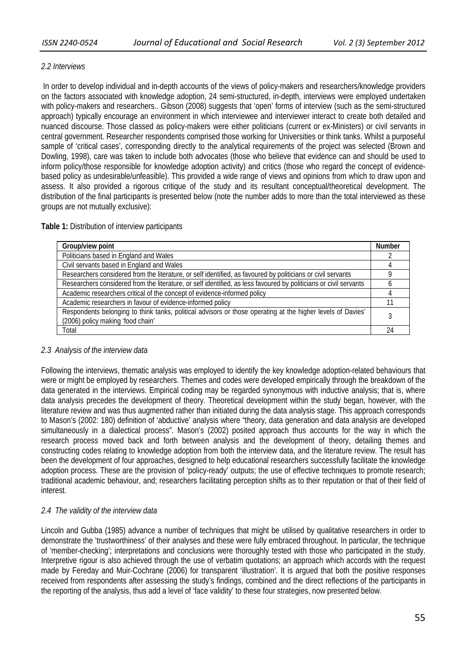# *2.2 Interviews*

 In order to develop individual and in-depth accounts of the views of policy-makers and researchers/knowledge providers on the factors associated with knowledge adoption, 24 semi-structured, in-depth, interviews were employed undertaken with policy-makers and researchers.. Gibson (2008) suggests that 'open' forms of interview (such as the semi-structured approach) typically encourage an environment in which interviewee and interviewer interact to create both detailed and nuanced discourse. Those classed as policy-makers were either politicians (current or ex-Ministers) or civil servants in central government. Researcher respondents comprised those working for Universities or think tanks. Whilst a purposeful sample of 'critical cases', corresponding directly to the analytical requirements of the project was selected (Brown and Dowling, 1998), care was taken to include both advocates (those who believe that evidence can and should be used to inform policy/those responsible for knowledge adoption activity) and critics (those who regard the concept of evidencebased policy as undesirable/unfeasible). This provided a wide range of views and opinions from which to draw upon and assess. It also provided a rigorous critique of the study and its resultant conceptual/theoretical development. The distribution of the final participants is presented below (note the number adds to more than the total interviewed as these groups are not mutually exclusive):

# **Table 1:** Distribution of interview participants

| Group/view point                                                                                                                                 | <b>Number</b> |  |
|--------------------------------------------------------------------------------------------------------------------------------------------------|---------------|--|
| Politicians based in England and Wales                                                                                                           |               |  |
| Civil servants based in England and Wales                                                                                                        |               |  |
| Researchers considered from the literature, or self identified, as favoured by politicians or civil servants                                     |               |  |
| Researchers considered from the literature, or self identified, as less favoured by politicians or civil servants                                |               |  |
| Academic researchers critical of the concept of evidence-informed policy                                                                         |               |  |
| Academic researchers in favour of evidence-informed policy                                                                                       |               |  |
| Respondents belonging to think tanks, political advisors or those operating at the higher levels of Davies'<br>(2006) policy making 'food chain' |               |  |
| Total                                                                                                                                            |               |  |
|                                                                                                                                                  |               |  |

# *2.3 Analysis of the interview data*

Following the interviews, thematic analysis was employed to identify the key knowledge adoption-related behaviours that were or might be employed by researchers. Themes and codes were developed empirically through the breakdown of the data generated in the interviews. Empirical coding may be regarded synonymous with inductive analysis; that is, where data analysis precedes the development of theory. Theoretical development within the study began, however, with the literature review and was thus augmented rather than initiated during the data analysis stage. This approach corresponds to Mason's (2002: 180) definition of 'abductive' analysis where "theory, data generation and data analysis are developed simultaneously in a dialectical process". Mason's (2002) posited approach thus accounts for the way in which the research process moved back and forth between analysis and the development of theory, detailing themes and constructing codes relating to knowledge adoption from both the interview data, and the literature review. The result has been the development of four approaches, designed to help educational researchers successfully facilitate the knowledge adoption process. These are the provision of 'policy-ready' outputs; the use of effective techniques to promote research; traditional academic behaviour, and; researchers facilitating perception shifts as to their reputation or that of their field of interest.

# *2.4 The validity of the interview data*

Lincoln and Gubba (1985) advance a number of techniques that might be utilised by qualitative researchers in order to demonstrate the 'trustworthiness' of their analyses and these were fully embraced throughout. In particular, the technique of 'member-checking'; interpretations and conclusions were thoroughly tested with those who participated in the study. Interpretive rigour is also achieved through the use of verbatim quotations; an approach which accords with the request made by Fereday and Muir-Cochrane (2006) for transparent 'illustration'. It is argued that both the positive responses received from respondents after assessing the study's findings, combined and the direct reflections of the participants in the reporting of the analysis, thus add a level of 'face validity' to these four strategies, now presented below.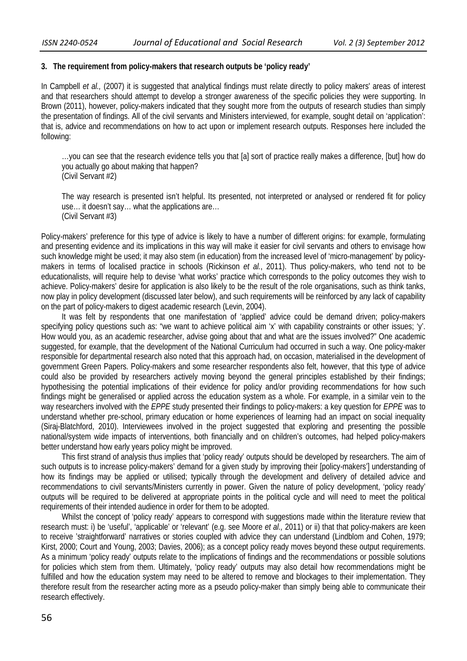### **3. The requirement from policy-makers that research outputs be 'policy ready'**

In Campbell *et al.,* (2007) it is suggested that analytical findings must relate directly to policy makers' areas of interest and that researchers should attempt to develop a stronger awareness of the specific policies they were supporting. In Brown (2011), however, policy-makers indicated that they sought more from the outputs of research studies than simply the presentation of findings. All of the civil servants and Ministers interviewed, for example, sought detail on 'application': that is, advice and recommendations on how to act upon or implement research outputs. Responses here included the following:

…you can see that the research evidence tells you that [a] sort of practice really makes a difference, [but] how do you actually go about making that happen? (Civil Servant #2)

The way research is presented isn't helpful. Its presented, not interpreted or analysed or rendered fit for policy use… it doesn't say… what the applications are… (Civil Servant #3)

Policy-makers' preference for this type of advice is likely to have a number of different origins: for example, formulating and presenting evidence and its implications in this way will make it easier for civil servants and others to envisage how such knowledge might be used; it may also stem (in education) from the increased level of 'micro-management' by policymakers in terms of localised practice in schools (Rickinson *et al.*, 2011). Thus policy-makers, who tend not to be educationalists, will require help to devise 'what works' practice which corresponds to the policy outcomes they wish to achieve. Policy-makers' desire for application is also likely to be the result of the role organisations, such as think tanks, now play in policy development (discussed later below), and such requirements will be reinforced by any lack of capability on the part of policy-makers to digest academic research (Levin, 2004).

It was felt by respondents that one manifestation of 'applied' advice could be demand driven; policy-makers specifying policy questions such as: "we want to achieve political aim 'x' with capability constraints or other issues; 'y'. How would you, as an academic researcher, advise going about that and what are the issues involved?" One academic suggested, for example, that the development of the National Curriculum had occurred in such a way. One policy-maker responsible for departmental research also noted that this approach had, on occasion, materialised in the development of government Green Papers. Policy-makers and some researcher respondents also felt, however, that this type of advice could also be provided by researchers actively moving beyond the general principles established by their findings; hypothesising the potential implications of their evidence for policy and/or providing recommendations for how such findings might be generalised or applied across the education system as a whole. For example, in a similar vein to the way researchers involved with the *EPPE* study presented their findings to policy-makers: a key question for *EPPE* was to understand whether pre-school, primary education or home experiences of learning had an impact on social inequality (Siraj-Blatchford, 2010). Interviewees involved in the project suggested that exploring and presenting the possible national/system wide impacts of interventions, both financially and on children's outcomes, had helped policy-makers better understand how early years policy might be improved.

This first strand of analysis thus implies that 'policy ready' outputs should be developed by researchers. The aim of such outputs is to increase policy-makers' demand for a given study by improving their [policy-makers'] understanding of how its findings may be applied or utilised; typically through the development and delivery of detailed advice and recommendations to civil servants/Ministers currently in power. Given the nature of policy development, 'policy ready' outputs will be required to be delivered at appropriate points in the political cycle and will need to meet the political requirements of their intended audience in order for them to be adopted.

Whilst the concept of 'policy ready' appears to correspond with suggestions made within the literature review that research must: i) be 'useful', 'applicable' or 'relevant' (e.g. see Moore *et al.,* 2011) or ii) that that policy-makers are keen to receive 'straightforward' narratives or stories coupled with advice they can understand (Lindblom and Cohen, 1979; Kirst, 2000; Court and Young, 2003; Davies, 2006); as a concept policy ready moves beyond these output requirements. As a minimum 'policy ready' outputs relate to the implications of findings and the recommendations or possible solutions for policies which stem from them. Ultimately, 'policy ready' outputs may also detail how recommendations might be fulfilled and how the education system may need to be altered to remove and blockages to their implementation. They therefore result from the researcher acting more as a pseudo policy-maker than simply being able to communicate their research effectively.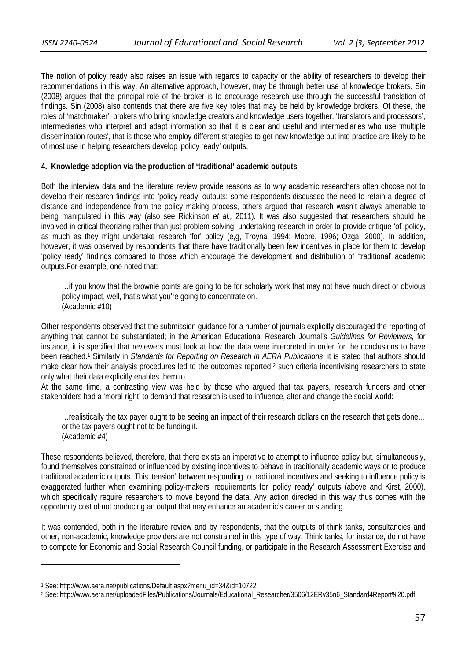The notion of policy ready also raises an issue with regards to capacity or the ability of researchers to develop their recommendations in this way. An alternative approach, however, may be through better use of knowledge brokers. Sin (2008) argues that the principal role of the broker is to encourage research use through the successful translation of findings. Sin (2008) also contends that there are five key roles that may be held by knowledge brokers. Of these, the roles of 'matchmaker', brokers who bring knowledge creators and knowledge users together, 'translators and processors', intermediaries who interpret and adapt information so that it is clear and useful and intermediaries who use 'multiple dissemination routes', that is those who employ different strategies to get new knowledge put into practice are likely to be of most use in helping researchers develop 'policy ready' outputs.

# **4. Knowledge adoption via the production of 'traditional' academic outputs**

Both the interview data and the literature review provide reasons as to why academic researchers often choose not to develop their research findings into 'policy ready' outputs: some respondents discussed the need to retain a degree of distance and independence from the policy making process, others argued that research wasn't always amenable to being manipulated in this way (also see Rickinson *et al.,* 2011). It was also suggested that researchers should be involved in critical theorizing rather than just problem solving: undertaking research in order to provide critique 'of' policy, as much as they might undertake research 'for' policy (e,g, Troyna, 1994; Moore, 1996; Ozga, 2000). In addition, however, it was observed by respondents that there have traditionally been few incentives in place for them to develop 'policy ready' findings compared to those which encourage the development and distribution of 'traditional' academic outputs.For example, one noted that:

…if you know that the brownie points are going to be for scholarly work that may not have much direct or obvious policy impact, well, that's what you're going to concentrate on. (Academic #10)

Other respondents observed that the submission guidance for a number of journals explicitly discouraged the reporting of anything that cannot be substantiated; in the American Educational Research Journal's *Guidelines for Reviewers,* for instance, it is specified that reviewers must look at how the data were interpreted in order for the conclusions to have been reached.1 Similarly in *Standards for Reporting on Research in AERA Publications*, it is stated that authors should make clear how their analysis procedures led to the outcomes reported:2 such criteria incentivising researchers to state only what their data explicitly enables them to.

At the same time, a contrasting view was held by those who argued that tax payers, research funders and other stakeholders had a 'moral right' to demand that research is used to influence, alter and change the social world:

…realistically the tax payer ought to be seeing an impact of their research dollars on the research that gets done… or the tax payers ought not to be funding it. (Academic #4)

These respondents believed, therefore, that there exists an imperative to attempt to influence policy but, simultaneously, found themselves constrained or influenced by existing incentives to behave in traditionally academic ways or to produce traditional academic outputs. This 'tension' between responding to traditional incentives and seeking to influence policy is exaggerated further when examining policy-makers' requirements for 'policy ready' outputs (above and Kirst, 2000), which specifically require researchers to move beyond the data. Any action directed in this way thus comes with the opportunity cost of not producing an output that may enhance an academic's career or standing.

It was contended, both in the literature review and by respondents, that the outputs of think tanks, consultancies and other, non-academic, knowledge providers are not constrained in this type of way. Think tanks, for instance, do not have to compete for Economic and Social Research Council funding, or participate in the Research Assessment Exercise and

<u> 1989 - Johann Barnett, fransk politiker (d. 1989)</u>

<sup>1</sup> See: http://www.aera.net/publications/Default.aspx?menu\_id=34&id=10722

<sup>2</sup> See: http://www.aera.net/uploadedFiles/Publications/Journals/Educational\_Researcher/3506/12ERv35n6\_Standard4Report%20.pdf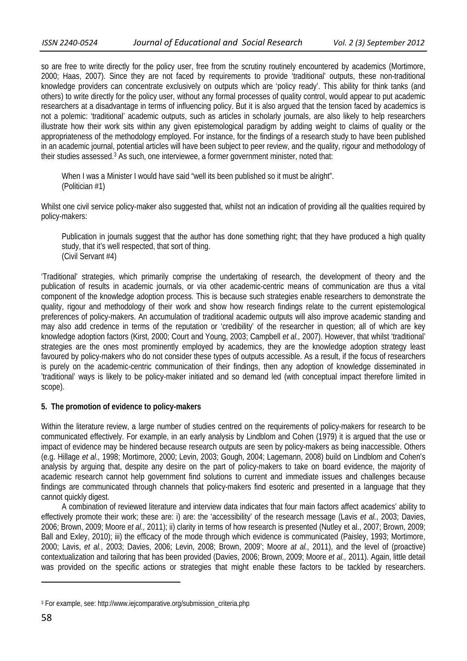so are free to write directly for the policy user, free from the scrutiny routinely encountered by academics (Mortimore, 2000; Haas, 2007). Since they are not faced by requirements to provide 'traditional' outputs, these non-traditional knowledge providers can concentrate exclusively on outputs which are 'policy ready'. This ability for think tanks (and others) to write directly for the policy user, without any formal processes of quality control, would appear to put academic researchers at a disadvantage in terms of influencing policy. But it is also argued that the tension faced by academics is not a polemic: 'traditional' academic outputs, such as articles in scholarly journals, are also likely to help researchers illustrate how their work sits within any given epistemological paradigm by adding weight to claims of quality or the appropriateness of the methodology employed. For instance, for the findings of a research study to have been published in an academic journal, potential articles will have been subject to peer review, and the quality, rigour and methodology of their studies assessed.3 As such, one interviewee, a former government minister, noted that:

When I was a Minister I would have said "well its been published so it must be alright". (Politician #1)

Whilst one civil service policy-maker also suggested that, whilst not an indication of providing all the qualities required by policy-makers:

Publication in journals suggest that the author has done something right; that they have produced a high quality study, that it's well respected, that sort of thing. (Civil Servant #4)

'Traditional' strategies, which primarily comprise the undertaking of research, the development of theory and the publication of results in academic journals, or via other academic-centric means of communication are thus a vital component of the knowledge adoption process. This is because such strategies enable researchers to demonstrate the quality, rigour and methodology of their work and show how research findings relate to the current epistemological preferences of policy-makers. An accumulation of traditional academic outputs will also improve academic standing and may also add credence in terms of the reputation or 'credibility' of the researcher in question; all of which are key knowledge adoption factors (Kirst, 2000; Court and Young, 2003; Campbell *et al.,* 2007). However, that whilst 'traditional' strategies are the ones most prominently employed by academics, they are the knowledge adoption strategy least favoured by policy-makers who do not consider these types of outputs accessible. As a result, if the focus of researchers is purely on the academic-centric communication of their findings, then any adoption of knowledge disseminated in 'traditional' ways is likely to be policy-maker initiated and so demand led (with conceptual impact therefore limited in scope).

# **5. The promotion of evidence to policy-makers**

Within the literature review, a large number of studies centred on the requirements of policy-makers for research to be communicated effectively. For example, in an early analysis by Lindblom and Cohen (1979) it is argued that the use or impact of evidence may be hindered because research outputs are seen by policy-makers as being inaccessible. Others (e.g. Hillage *et al.,* 1998; Mortimore, 2000; Levin, 2003; Gough, 2004; Lagemann, 2008) build on Lindblom and Cohen's analysis by arguing that, despite any desire on the part of policy-makers to take on board evidence, the majority of academic research cannot help government find solutions to current and immediate issues and challenges because findings are communicated through channels that policy-makers find esoteric and presented in a language that they cannot quickly digest.

A combination of reviewed literature and interview data indicates that four main factors affect academics' ability to effectively promote their work; these are: i) are: the 'accessibility' of the research message (Lavis *et al.*, 2003; Davies, 2006; Brown, 2009; Moore e*t al.,* 2011); ii) clarity in terms of how research is presented (Nutley et al., 2007; Brown, 2009; Ball and Exley, 2010); iii) the efficacy of the mode through which evidence is communicated (Paisley, 1993; Mortimore, 2000; Lavis, *et al.*, 2003; Davies, 2006; Levin, 2008; Brown, 2009'; Moore *at al.,* 2011), and the level of (proactive) contextualization and tailoring that has been provided (Davies, 2006; Brown, 2009; Moore *et al.,* 2011). Again, little detail was provided on the specific actions or strategies that might enable these factors to be tackled by researchers.

<u> 1989 - Johann Barn, mars eta inperiodo</u>

<sup>3</sup> For example, see: http://www.iejcomparative.org/submission\_criteria.php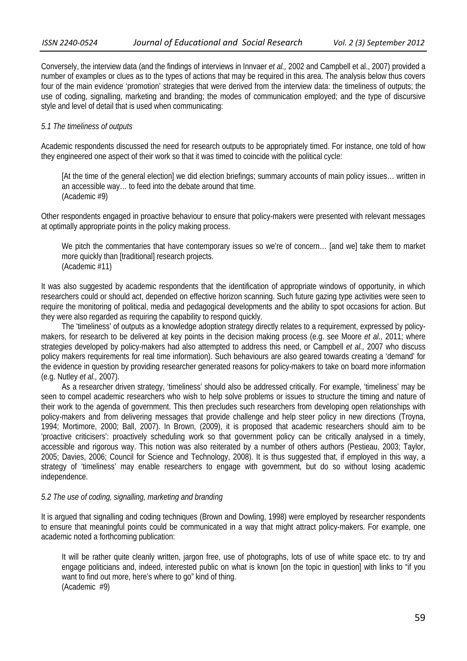Conversely, the interview data (and the findings of interviews in Innvaer *et al.,* 2002 and Campbell et al., 2007) provided a number of examples or clues as to the types of actions that may be required in this area. The analysis below thus covers four of the main evidence 'promotion' strategies that were derived from the interview data: the timeliness of outputs; the use of coding, signalling, marketing and branding; the modes of communication employed; and the type of discursive style and level of detail that is used when communicating:

### *5.1 The timeliness of outputs*

Academic respondents discussed the need for research outputs to be appropriately timed. For instance, one told of how they engineered one aspect of their work so that it was timed to coincide with the political cycle:

[At the time of the general election] we did election briefings; summary accounts of main policy issues… written in an accessible way… to feed into the debate around that time. (Academic #9)

Other respondents engaged in proactive behaviour to ensure that policy-makers were presented with relevant messages at optimally appropriate points in the policy making process.

We pitch the commentaries that have contemporary issues so we're of concern... [and we] take them to market more quickly than [traditional] research projects. (Academic #11)

It was also suggested by academic respondents that the identification of appropriate windows of opportunity, in which researchers could or should act, depended on effective horizon scanning. Such future gazing type activities were seen to require the monitoring of political, media and pedagogical developments and the ability to spot occasions for action. But they were also regarded as requiring the capability to respond quickly.

The 'timeliness' of outputs as a knowledge adoption strategy directly relates to a requirement, expressed by policymakers, for research to be delivered at key points in the decision making process (e.g. see Moore *et al.,* 2011; where strategies developed by policy-makers had also attempted to address this need, or Campbell *et al.,* 2007 who discuss policy makers requirements for real time information). Such behaviours are also geared towards creating a 'demand' for the evidence in question by providing researcher generated reasons for policy-makers to take on board more information (e.g. Nutley *et al.,* 2007).

As a researcher driven strategy, 'timeliness' should also be addressed critically. For example, 'timeliness' may be seen to compel academic researchers who wish to help solve problems or issues to structure the timing and nature of their work to the agenda of government. This then precludes such researchers from developing open relationships with policy-makers and from delivering messages that provide challenge and help steer policy in new directions (Troyna, 1994; Mortimore, 2000; Ball, 2007). In Brown, (2009), it is proposed that academic researchers should aim to be 'proactive criticisers': proactively scheduling work so that government policy can be critically analysed in a timely, accessible and rigorous way. This notion was also reiterated by a number of others authors (Pestieau, 2003; Taylor, 2005; Davies, 2006; Council for Science and Technology, 2008). It is thus suggested that, if employed in this way, a strategy of 'timeliness' may enable researchers to engage with government, but do so without losing academic independence.

### *5.2 The use of coding, signalling, marketing and branding*

It is argued that signalling and coding techniques (Brown and Dowling, 1998) were employed by researcher respondents to ensure that meaningful points could be communicated in a way that might attract policy-makers. For example, one academic noted a forthcoming publication:

It will be rather quite cleanly written, jargon free, use of photographs, lots of use of white space etc. to try and engage politicians and, indeed, interested public on what is known [on the topic in question] with links to "if you want to find out more, here's where to go" kind of thing. (Academic #9)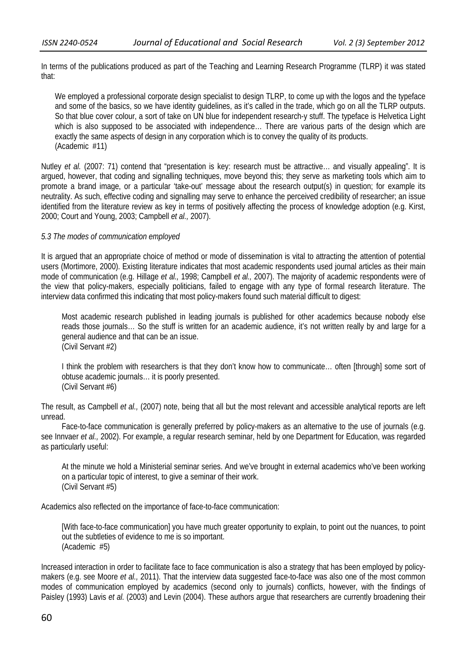In terms of the publications produced as part of the Teaching and Learning Research Programme (TLRP) it was stated that:

We employed a professional corporate design specialist to design TLRP, to come up with the logos and the typeface and some of the basics, so we have identity guidelines, as it's called in the trade, which go on all the TLRP outputs. So that blue cover colour, a sort of take on UN blue for independent research-y stuff. The typeface is Helvetica Light which is also supposed to be associated with independence... There are various parts of the design which are exactly the same aspects of design in any corporation which is to convey the quality of its products. (Academic #11)

Nutley *et al.* (2007: 71) contend that "presentation is key: research must be attractive… and visually appealing". It is argued, however, that coding and signalling techniques, move beyond this; they serve as marketing tools which aim to promote a brand image, or a particular 'take-out' message about the research output(s) in question; for example its neutrality. As such, effective coding and signalling may serve to enhance the perceived credibility of researcher; an issue identified from the literature review as key in terms of positively affecting the process of knowledge adoption (e.g. Kirst, 2000; Court and Young, 2003; Campbell *et al.,* 2007).

### *5.3 The modes of communication employed*

It is argued that an appropriate choice of method or mode of dissemination is vital to attracting the attention of potential users (Mortimore, 2000). Existing literature indicates that most academic respondents used journal articles as their main mode of communication (e.g. Hillage *et al.,* 1998; Campbell *et al.,* 2007). The majority of academic respondents were of the view that policy-makers, especially politicians, failed to engage with any type of formal research literature. The interview data confirmed this indicating that most policy-makers found such material difficult to digest:

Most academic research published in leading journals is published for other academics because nobody else reads those journals… So the stuff is written for an academic audience, it's not written really by and large for a general audience and that can be an issue. (Civil Servant #2)

I think the problem with researchers is that they don't know how to communicate… often [through] some sort of obtuse academic journals… it is poorly presented. (Civil Servant #6)

The result, as Campbell *et al.,* (2007) note, being that all but the most relevant and accessible analytical reports are left unread.

Face-to-face communication is generally preferred by policy-makers as an alternative to the use of journals (e.g. see Innvaer *et al.,* 2002). For example, a regular research seminar, held by one Department for Education, was regarded as particularly useful:

At the minute we hold a Ministerial seminar series. And we've brought in external academics who've been working on a particular topic of interest, to give a seminar of their work. (Civil Servant #5)

Academics also reflected on the importance of face-to-face communication:

[With face-to-face communication] you have much greater opportunity to explain, to point out the nuances, to point out the subtleties of evidence to me is so important. (Academic #5)

Increased interaction in order to facilitate face to face communication is also a strategy that has been employed by policymakers (e.g. see Moore *et al.,* 2011). That the interview data suggested face-to-face was also one of the most common modes of communication employed by academics (second only to journals) conflicts, however, with the findings of Paisley (1993) Lavis *et al.* (2003) and Levin (2004). These authors argue that researchers are currently broadening their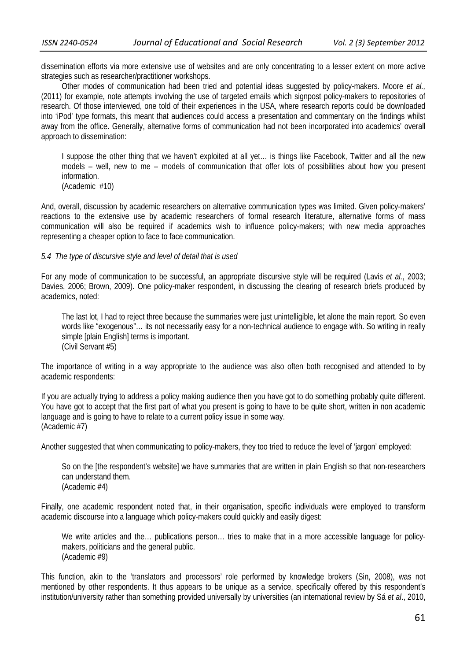dissemination efforts via more extensive use of websites and are only concentrating to a lesser extent on more active strategies such as researcher/practitioner workshops.

Other modes of communication had been tried and potential ideas suggested by policy-makers. Moore *et al.,* (2011) for example, note attempts involving the use of targeted emails which signpost policy-makers to repositories of research. Of those interviewed, one told of their experiences in the USA, where research reports could be downloaded into 'iPod' type formats, this meant that audiences could access a presentation and commentary on the findings whilst away from the office. Generally, alternative forms of communication had not been incorporated into academics' overall approach to dissemination:

I suppose the other thing that we haven't exploited at all yet… is things like Facebook, Twitter and all the new models – well, new to me – models of communication that offer lots of possibilities about how you present information. (Academic #10)

And, overall, discussion by academic researchers on alternative communication types was limited. Given policy-makers' reactions to the extensive use by academic researchers of formal research literature, alternative forms of mass communication will also be required if academics wish to influence policy-makers; with new media approaches representing a cheaper option to face to face communication.

#### *5.4 The type of discursive style and level of detail that is used*

For any mode of communication to be successful, an appropriate discursive style will be required (Lavis *et al.*, 2003; Davies, 2006; Brown, 2009). One policy-maker respondent, in discussing the clearing of research briefs produced by academics, noted:

The last lot, I had to reject three because the summaries were just unintelligible, let alone the main report. So even words like "exogenous"… its not necessarily easy for a non-technical audience to engage with. So writing in really simple [plain English] terms is important. (Civil Servant #5)

The importance of writing in a way appropriate to the audience was also often both recognised and attended to by academic respondents:

If you are actually trying to address a policy making audience then you have got to do something probably quite different. You have got to accept that the first part of what you present is going to have to be quite short, written in non academic language and is going to have to relate to a current policy issue in some way. (Academic #7)

Another suggested that when communicating to policy-makers, they too tried to reduce the level of 'jargon' employed:

So on the [the respondent's website] we have summaries that are written in plain English so that non-researchers can understand them. (Academic #4)

Finally, one academic respondent noted that, in their organisation, specific individuals were employed to transform academic discourse into a language which policy-makers could quickly and easily digest:

We write articles and the... publications person... tries to make that in a more accessible language for policymakers, politicians and the general public. (Academic #9)

This function, akin to the 'translators and processors' role performed by knowledge brokers (Sin, 2008), was not mentioned by other respondents. It thus appears to be unique as a service, specifically offered by this respondent's institution/university rather than something provided universally by universities (an international review by Sá *et al*., 2010,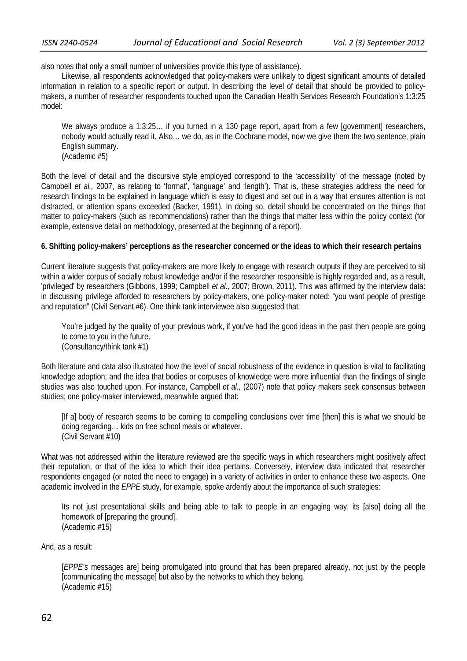also notes that only a small number of universities provide this type of assistance).

Likewise, all respondents acknowledged that policy-makers were unlikely to digest significant amounts of detailed information in relation to a specific report or output. In describing the level of detail that should be provided to policymakers, a number of researcher respondents touched upon the Canadian Health Services Research Foundation's 1:3:25 model:

We always produce a 1:3:25... if you turned in a 130 page report, apart from a few [government] researchers, nobody would actually read it. Also… we do, as in the Cochrane model, now we give them the two sentence, plain English summary. (Academic #5)

Both the level of detail and the discursive style employed correspond to the 'accessibility' of the message (noted by Campbell *et al.,* 2007, as relating to 'format', 'language' and 'length'). That is, these strategies address the need for research findings to be explained in language which is easy to digest and set out in a way that ensures attention is not distracted, or attention spans exceeded (Backer, 1991). In doing so, detail should be concentrated on the things that matter to policy-makers (such as recommendations) rather than the things that matter less within the policy context (for example, extensive detail on methodology, presented at the beginning of a report).

# **6. Shifting policy-makers' perceptions as the researcher concerned or the ideas to which their research pertains**

Current literature suggests that policy-makers are more likely to engage with research outputs if they are perceived to sit within a wider corpus of socially robust knowledge and/or if the researcher responsible is highly regarded and, as a result, 'privileged' by researchers (Gibbons, 1999; Campbell *et al.,* 2007; Brown, 2011). This was affirmed by the interview data: in discussing privilege afforded to researchers by policy-makers, one policy-maker noted: "you want people of prestige and reputation" (Civil Servant #6). One think tank interviewee also suggested that:

You're judged by the quality of your previous work, if you've had the good ideas in the past then people are going to come to you in the future. (Consultancy/think tank #1)

Both literature and data also illustrated how the level of social robustness of the evidence in question is vital to facilitating knowledge adoption; and the idea that bodies or corpuses of knowledge were more influential than the findings of single studies was also touched upon. For instance, Campbell *et al.,* (2007) note that policy makers seek consensus between studies; one policy-maker interviewed, meanwhile argued that:

[If a] body of research seems to be coming to compelling conclusions over time [then] this is what we should be doing regarding… kids on free school meals or whatever. (Civil Servant #10)

What was not addressed within the literature reviewed are the specific ways in which researchers might positively affect their reputation, or that of the idea to which their idea pertains. Conversely, interview data indicated that researcher respondents engaged (or noted the need to engage) in a variety of activities in order to enhance these two aspects. One academic involved in the *EPPE* study, for example, spoke ardently about the importance of such strategies:

Its not just presentational skills and being able to talk to people in an engaging way, its [also] doing all the homework of [preparing the ground]. (Academic #15)

And, as a result:

[*EPPE's* messages are] being promulgated into ground that has been prepared already, not just by the people [communicating the message] but also by the networks to which they belong. (Academic #15)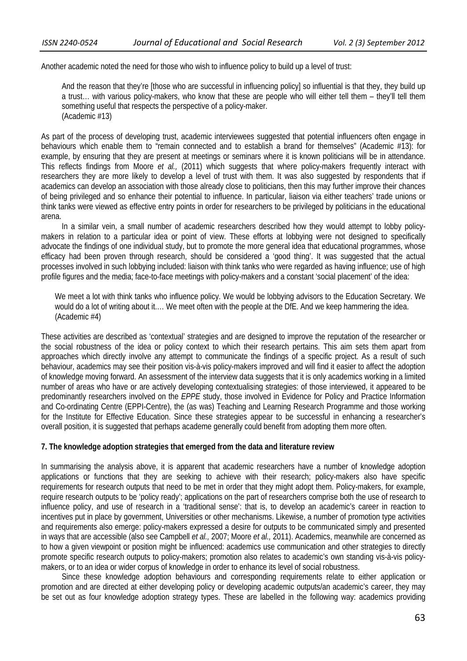Another academic noted the need for those who wish to influence policy to build up a level of trust:

And the reason that they're [those who are successful in influencing policy] so influential is that they, they build up a trust… with various policy-makers, who know that these are people who will either tell them – they'll tell them something useful that respects the perspective of a policy-maker. (Academic #13)

As part of the process of developing trust, academic interviewees suggested that potential influencers often engage in behaviours which enable them to "remain connected and to establish a brand for themselves" (Academic #13): for example, by ensuring that they are present at meetings or seminars where it is known politicians will be in attendance. This reflects findings from Moore *et al.,* (2011) which suggests that where policy-makers frequently interact with researchers they are more likely to develop a level of trust with them. It was also suggested by respondents that if academics can develop an association with those already close to politicians, then this may further improve their chances of being privileged and so enhance their potential to influence. In particular, liaison via either teachers' trade unions or think tanks were viewed as effective entry points in order for researchers to be privileged by politicians in the educational arena.

In a similar vein, a small number of academic researchers described how they would attempt to lobby policymakers in relation to a particular idea or point of view. These efforts at lobbying were not designed to specifically advocate the findings of one individual study, but to promote the more general idea that educational programmes, whose efficacy had been proven through research, should be considered a 'good thing'. It was suggested that the actual processes involved in such lobbying included: liaison with think tanks who were regarded as having influence; use of high profile figures and the media; face-to-face meetings with policy-makers and a constant 'social placement' of the idea:

We meet a lot with think tanks who influence policy. We would be lobbying advisors to the Education Secretary. We would do a lot of writing about it.… We meet often with the people at the DfE. And we keep hammering the idea. (Academic #4)

These activities are described as 'contextual' strategies and are designed to improve the reputation of the researcher or the social robustness of the idea or policy context to which their research pertains. This aim sets them apart from approaches which directly involve any attempt to communicate the findings of a specific project. As a result of such behaviour, academics may see their position vis-à-vis policy-makers improved and will find it easier to affect the adoption of knowledge moving forward. An assessment of the interview data suggests that it is only academics working in a limited number of areas who have or are actively developing contextualising strategies: of those interviewed, it appeared to be predominantly researchers involved on the *EPPE* study, those involved in Evidence for Policy and Practice Information and Co-ordinating Centre (EPPI-Centre), the (as was) Teaching and Learning Research Programme and those working for the Institute for Effective Education. Since these strategies appear to be successful in enhancing a researcher's overall position, it is suggested that perhaps academe generally could benefit from adopting them more often.

### **7. The knowledge adoption strategies that emerged from the data and literature review**

In summarising the analysis above, it is apparent that academic researchers have a number of knowledge adoption applications or functions that they are seeking to achieve with their research; policy-makers also have specific requirements for research outputs that need to be met in order that they might adopt them. Policy-makers, for example, require research outputs to be 'policy ready'; applications on the part of researchers comprise both the use of research to influence policy, and use of research in a 'traditional sense': that is, to develop an academic's career in reaction to incentives put in place by government, Universities or other mechanisms. Likewise, a number of promotion type activities and requirements also emerge: policy-makers expressed a desire for outputs to be communicated simply and presented in ways that are accessible (also see Campbell *et al.,* 2007; Moore *et al.,* 2011). Academics, meanwhile are concerned as to how a given viewpoint or position might be influenced: academics use communication and other strategies to directly promote specific research outputs to policy-makers; promotion also relates to academic's own standing vis-à-vis policymakers, or to an idea or wider corpus of knowledge in order to enhance its level of social robustness.

Since these knowledge adoption behaviours and corresponding requirements relate to either application or promotion and are directed at either developing policy or developing academic outputs/an academic's career, they may be set out as four knowledge adoption strategy types. These are labelled in the following way: academics providing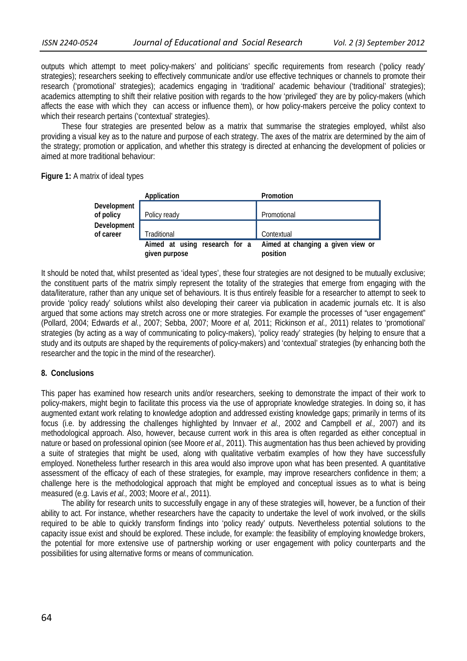outputs which attempt to meet policy-makers' and politicians' specific requirements from research ('policy ready' strategies); researchers seeking to effectively communicate and/or use effective techniques or channels to promote their research ('promotional' strategies); academics engaging in 'traditional' academic behaviour ('traditional' strategies); academics attempting to shift their relative position with regards to the how 'privileged' they are by policy-makers (which affects the ease with which they can access or influence them), or how policy-makers perceive the policy context to which their research pertains ('contextual' strategies).

These four strategies are presented below as a matrix that summarise the strategies employed, whilst also providing a visual key as to the nature and purpose of each strategy. The axes of the matrix are determined by the aim of the strategy; promotion or application, and whether this strategy is directed at enhancing the development of policies or aimed at more traditional behaviour:

**Figure 1:** A matrix of ideal types

|                                 | Application                                    | Promotion                                     |
|---------------------------------|------------------------------------------------|-----------------------------------------------|
| Development<br>of policy        | Policy ready                                   | Promotional                                   |
| <b>Development</b><br>of career | Traditional                                    | Contextual                                    |
|                                 | Aimed at using research for a<br>given purpose | Aimed at changing a given view or<br>position |

It should be noted that, whilst presented as 'ideal types', these four strategies are not designed to be mutually exclusive; the constituent parts of the matrix simply represent the totality of the strategies that emerge from engaging with the data/literature, rather than any unique set of behaviours. It is thus entirely feasible for a researcher to attempt to seek to provide 'policy ready' solutions whilst also developing their career via publication in academic journals etc. It is also argued that some actions may stretch across one or more strategies. For example the processes of "user engagement" (Pollard, 2004; Edwards *et al.*, 2007; Sebba, 2007; Moore *et al,* 2011; Rickinson *et al.,* 2011) relates to 'promotional' strategies (by acting as a way of communicating to policy-makers), 'policy ready' strategies (by helping to ensure that a study and its outputs are shaped by the requirements of policy-makers) and 'contextual' strategies (by enhancing both the researcher and the topic in the mind of the researcher).

### **8. Conclusions**

This paper has examined how research units and/or researchers, seeking to demonstrate the impact of their work to policy-makers, might begin to facilitate this process via the use of appropriate knowledge strategies. In doing so, it has augmented extant work relating to knowledge adoption and addressed existing knowledge gaps; primarily in terms of its focus (i.e. by addressing the challenges highlighted by Innvaer *et al.,* 2002 and Campbell *et al.,* 2007) and its methodological approach. Also, however, because current work in this area is often regarded as either conceptual in nature or based on professional opinion (see Moore *et al.,* 2011). This augmentation has thus been achieved by providing a suite of strategies that might be used, along with qualitative verbatim examples of how they have successfully employed. Nonetheless further research in this area would also improve upon what has been presented. A quantitative assessment of the efficacy of each of these strategies, for example, may improve researchers confidence in them; a challenge here is the methodological approach that might be employed and conceptual issues as to what is being measured (e.g. Lavis *et al.,* 2003; Moore *et al.,* 2011).

The ability for research units to successfully engage in any of these strategies will, however, be a function of their ability to act. For instance, whether researchers have the capacity to undertake the level of work involved, or the skills required to be able to quickly transform findings into 'policy ready' outputs. Nevertheless potential solutions to the capacity issue exist and should be explored. These include, for example: the feasibility of employing knowledge brokers, the potential for more extensive use of partnership working or user engagement with policy counterparts and the possibilities for using alternative forms or means of communication.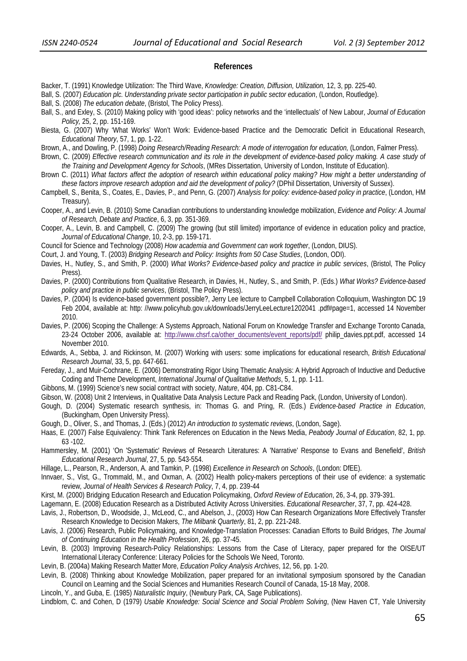#### **References**

- Backer, T. (1991) Knowledge Utilization: The Third Wave, *Knowledge: Creation, Diffusion, Utilization,* 12, 3, pp. 225-40.
- Ball, S. (2007) *Education plc. Understanding private sector participation in public sector education*, (London, Routledge).
- Ball, S. (2008) *The education debate*, (Bristol, The Policy Press).
- Ball, S., and Exley, S. (2010) Making policy with 'good ideas': policy networks and the 'intellectuals' of New Labour, *Journal of Education Policy,* 25, 2, pp. 151-169.
- Biesta, G. (2007) Why 'What Works' Won't Work: Evidence-based Practice and the Democratic Deficit in Educational Research, *Educational Theory*, 57, 1, pp. 1-22.
- Brown, A., and Dowling, P. (1998) *Doing Research/Reading Research: A mode of interrogation for education,* (London, Falmer Press).
- Brown, C. (2009) *Effective research communication and its role in the development of evidence-based policy making. A case study of the Training and Development Agency for Schools*, (MRes Dissertation, University of London, Institute of Education).
- Brown C. (2011) *What factors affect the adoption of research within educational policy making? How might a better understanding of these factors improve research adoption and aid the development of policy?* (DPhil Dissertation, University of Sussex).
- Campbell, S., Benita, S., Coates, E., Davies, P., and Penn, G. (2007) *Analysis for policy: evidence-based policy in practice*, (London, HM Treasury).
- Cooper, A., and Levin, B. (2010) Some Canadian contributions to understanding knowledge mobilization, *Evidence and Policy: A Journal of Research, Debate and Practice*, 6, 3, pp. 351-369.
- Cooper, A., Levin, B. and Campbell, C. (2009) The growing (but still limited) importance of evidence in education policy and practice, *Journal of Educational Change*, 10, 2-3, pp. 159-171.
- Council for Science and Technology (2008) *How academia and Government can work together*, (London, DIUS).

Court, J. and Young, T. (2003) *Bridging Research and Policy: Insights from 50 Case Studies*, (London, ODI).

- Davies, H., Nutley, S., and Smith, P. (2000) *What Works? Evidence-based policy and practice in public services*, (Bristol, The Policy Press).
- Davies, P. (2000) Contributions from Qualitative Research, in Davies, H., Nutley, S., and Smith, P. (Eds.) *What Works? Evidence-based policy and practice in public services*, (Bristol, The Policy Press).
- Davies, P. (2004) Is evidence-based government possible?, Jerry Lee lecture to Campbell Collaboration Colloquium, Washington DC 19 Feb 2004, available at: http: //www.policyhub.gov.uk/downloads/JerryLeeLecture1202041 .pdf#page=1, accessed 14 November 2010.
- Davies, P. (2006) Scoping the Challenge: A Systems Approach, National Forum on Knowledge Transfer and Exchange Toronto Canada, 23-24 October 2006, available at: http://www.chsrf.ca/other\_documents/event\_reports/pdf/\_philip\_davies.ppt.pdf, accessed 14 November 2010.
- Edwards, A., Sebba, J. and Rickinson, M. (2007) Working with users: some implications for educational research, *British Educational Research Journal*, 33, 5, pp. 647-661.
- Fereday, J., and Muir-Cochrane, E. (2006) Demonstrating Rigor Using Thematic Analysis: A Hybrid Approach of Inductive and Deductive Coding and Theme Development, *International Journal of Qualitative Methods*, 5, 1, pp. 1-11.
- Gibbons, M. (1999) Science's new social contract with society, *Nature*, 404, pp. C81-C84.
- Gibson, W. (2008) Unit 2 Interviews, in Qualitative Data Analysis Lecture Pack and Reading Pack, (London, University of London).
- Gough, D. (2004) Systematic research synthesis, in: Thomas G. and Pring, R. (Eds.) *Evidence-based Practice in Education*, (Buckingham, Open University Press).
- Gough, D., Oliver, S., and Thomas, J. (Eds.) (2012) *An introduction to systematic reviews*, (London, Sage).
- Haas, E. (2007) False Equivalency: Think Tank References on Education in the News Media, *Peabody Journal of Education*, 82, 1, pp. 63 -102.
- Hammersley, M. (2001) 'On 'Systematic' Reviews of Research Literatures: A 'Narrative' Response to Evans and Benefield', *British Educational Research Journal*, 27, 5, pp. 543-554.
- Hillage, L., Pearson, R., Anderson, A. and Tamkin, P. (1998) *Excellence in Research on Schools*, (London: DfEE).
- Innvaer, S., Vist, G., Trommald, M., and Oxman, A. (2002) Health policy-makers perceptions of their use of evidence: a systematic review*, Journal of Health Services & Research Policy*, 7, 4, pp. 239-44
- Kirst, M. (2000) Bridging Education Research and Education Policymaking, *Oxford Review of Education*, 26, 3-4, pp. 379-391.
- Lagemann, E. (2008) Education Research as a Distributed Activity Across Universities. *Educational Researcher*, 37, 7, pp. 424-428.
- Lavis, J., Robertson, D., Woodside, J., McLeod, C., and Abelson, J., (2003) How Can Research Organizations More Effectively Transfer Research Knowledge to Decision Makers, *The Milbank Quarterly*, 81, 2, pp. 221-248.
- Lavis, J. (2006) Research, Public Policymaking, and Knowledge-Translation Processes: Canadian Efforts to Build Bridges, *The Journal of Continuing Education in the Health Profession*, 26, pp. 37-45.
- Levin, B. (2003) Improving Research-Policy Relationships: Lessons from the Case of Literacy, paper prepared for the OISE/UT International Literacy Conference: Literacy Policies for the Schools We Need, Toronto.
- Levin, B. (2004a) Making Research Matter More, *Education Policy Analysis Archives*, 12, 56, pp. 1-20.
- Levin, B. (2008) Thinking about Knowledge Mobilization, paper prepared for an invitational symposium sponsored by the Canadian Council on Learning and the Social Sciences and Humanities Research Council of Canada, 15-18 May, 2008.
- Lincoln, Y., and Guba, E. (1985) *Naturalistic Inquiry*, (Newbury Park, CA, Sage Publications).

Lindblom, C. and Cohen, D (1979) *Usable Knowledge: Social Science and Social Problem Solving*, (New Haven CT, Yale University